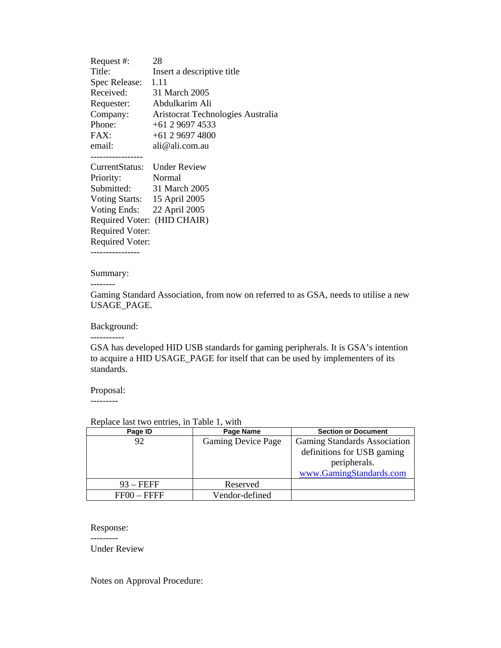Request #: 28 Title: Insert a descriptive title Spec Release: 1.11 Received: 31 March 2005 Requester: Abdulkarim Ali Company: Aristocrat Technologies Australia Phone: +61 2 9697 4533 FAX: +61 2 9697 4800 email: ali@ali.com.au ----------------- CurrentStatus: Under Review Priority: Normal Submitted: 31 March 2005 Voting Starts: 15 April 2005 Voting Ends: 22 April 2005 Required Voter: (HID CHAIR) Required Voter: Required Voter: ----------------

## Summary:

--------

Gaming Standard Association, from now on referred to as GSA, needs to utilise a new USAGE\_PAGE.

Background:

-----------

GSA has developed HID USB standards for gaming peripherals. It is GSA's intention to acquire a HID USAGE\_PAGE for itself that can be used by implementers of its standards.

## Proposal:

---------

## Replace last two entries, in Table 1, with

| Page ID       | Page Name                 | <b>Section or Document</b>   |
|---------------|---------------------------|------------------------------|
| 92            | <b>Gaming Device Page</b> | Gaming Standards Association |
|               |                           | definitions for USB gaming   |
|               |                           | peripherals.                 |
|               |                           | www.GamingStandards.com      |
| $93 - FEFF$   | Reserved                  |                              |
| $FF00 - FFFF$ | Vendor-defined            |                              |

## Response: ---------

Under Review

Notes on Approval Procedure: